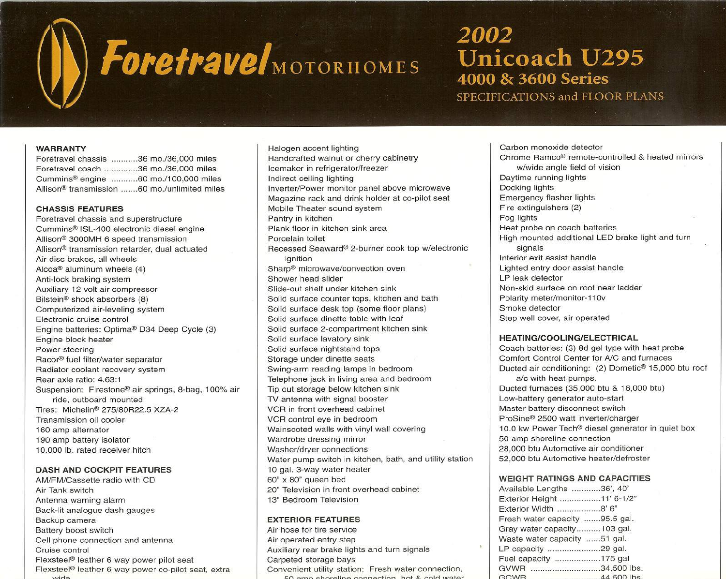# ForetravelMOTORHOMES

## 2002 **Unicoach U295** 4000 & 3600 Series SPECIFICATIONS and FLOOR PLANS

#### **WARRANTY**

| Foretravel chassis 36 mo./36,000 miles |                                                          |
|----------------------------------------|----------------------------------------------------------|
| Foretravel coach 36 mo./36.000 miles   |                                                          |
|                                        | Cummins <sup>®</sup> engine 60 mo./100,000 miles         |
|                                        | Allison <sup>®</sup> transmission 60 mo./unlimited miles |

#### **CHASSIS FEATURES**

Foretravel chassis and superstructure Cummins@ ISL-400 electronic diesel engine Allison@3000MH 6 speed transmission Allison@transmission retarder, dual actuated Air disc brakes. all wheels Alcoa@ aluminum wheels (4) Anti-lock braking system Auxiliary 12 volt air compressor Bilstein<sup>®</sup> shock absorbers (8) Computerized air-leveling system Electronic cruise control Engine batteries: Optima@ D34 Deep Cycle (3) Engine block heater Power steering Racor® fuel filter/water separator Radiator coolant recovery system Rear axle ratio: 4.63:1 Suspension: Firestone@ air springs. 8-bag, 100% air ride. outboard mounted Tires: Michelin@275/80R22.5 XZA-2 Transmission oil cooler 160 amp alternator 190 amp battery isolator 10,000 lb. rated receiver hitch

#### **DASH AND COCKPIT FEATURES**

AM/FM/Cassette radio with CD Air Tank switch Antenna warning alarm Back-lit analogue dash gauges Backup camera Battery boost switch Cell phone connection and antenna Cruise control Flexsteel@ leather 6 way power pilot seat Flexsteel@ leather 6 way power co-pilot seat, extra **\.A,i,,-.l.o.**

Halogen accent lighting Handcrafted walnut or cherry cabinetry Icemaker in refrigerator/freezer Indirect ceiling lighting Inverter/Power monitor panel above microwave Magazine rack and drink holder at co-pilot seat Mobile Theater sound system Pantry in kitchen Plank floor in kitchen sink area Porcelain toilet Recessed Seaward® 2-burner cook top w/electronic ignition Sharp@ microwave/convection oven Shower head slider Slide-out shelf under kitchen sink Solid surface counter tops, kitchen and bath Solid surface desk top (some floor plans) Solid surface dinette table with leaf Solid surface 2-compartment kitchen sink Solid surface lavatory sink Solid surface nightstand tops Storage under dinette seats Swing-arm reading lamps in bedroom Telephone jack in living area and bedroom Tip out storage below kitchen sink TV antenna with signal booster VCR in front overhead cabinet VCR control eye in bedroom Wainscoted walls with vinyl wall covering Wardrobe dressing mirror Washer/dryer connections Water pump switch in kitchen. bath, and utility station 10 gal. 3-way water heater 60" x 80" queen bed 20" Television in front overhead cabinet 13" Bedroom Television

### **EXTERIOR FEATURES**

Air hose for tire service Air operated entry step Auxiliary rear brake lights and turn signals Carpeted storage bays Convenient utility station: Fresh water connection,  $F(0, n,m)$  charaling connection, bot *R.* cold water

Carbon monoxide detector Chrome Ramco@ remote-controlled & heated mirrors w/wide angle field of vision Daytime running lights Docking lights Emergency flasher lights Fire extinguishers (2) Fog lights Heat probe on coach batteries High mounted additional **LED** brake light and turn signals Interior exit assist handle Lighted entry door assist handle **LP** leak detector Non-skid surface on roof near ladder Polarity meter/monitor-110v Smoke detector Step well cover. air operated

#### **HEATING/COOLING/ELECTRICAL**

Coach batteries: (3) 8d gel type with heat probe Comfort Control Center for *AlC* and furnaces Ducted air conditioning: (2) Dometic@ 15.000 btu roof a/c with heat pumps. Ducted furnaces (35,000 btu & 16,000 btu) Low-battery generator auto-start Master battery disconnect switch ProSine@ 2500 watt inverter/charger 10.0 kw Power Tech<sup>®</sup> diesel generator in quiet box 50 amp shoreline connection 28.000 btu Automotive air conditioner 52,000 btu Automotive heater/defroster

#### **WEIGHT RATINGS AND CAPACITIES**

| Available Lengths 36', 40'     |             |
|--------------------------------|-------------|
| Exterior Height 11' 6-1/2"     |             |
| Exterior Width 8' 6"           |             |
| Fresh water capacity 95.5 gal. |             |
| Gray water capacity103 gal.    |             |
| Waste water capacity 51 gal.   |             |
| LP capacity 29 gal.            |             |
| Fuel capacity 175 gal          |             |
| GVWR 34,500 lbs.               |             |
| GCWR                           | 44,500 lbs. |